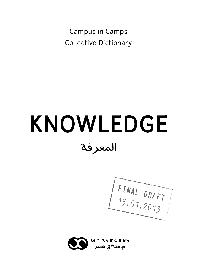Campus in Camps Collective Dictionary

# KNOWLEDGE المعرفة

**FINAL DRAFT** 15.01.2013

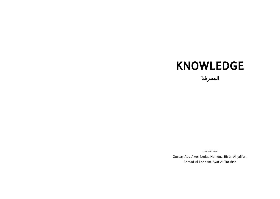## KNOWLEDGE

المعرفة

contributors

Qussay Abu Aker, Nedaa Hamouz, Bisan Al-Jaffari, Ahmad Al-Lahham, Ayat Al-Turshan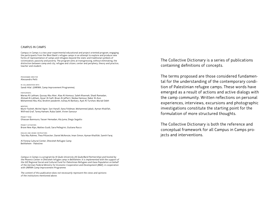#### CAMPUS IN CAMPS

Campus in Camps is a two-year experimental educational and project oriented program, engaging the participants from the West Bank's refugee camps in an attempt to explore and produce new forms of representation of camps and refugees beyond the static and traditional symbols of victimization, passivity and poverty. The program aims at transgressing, without eliminating, the distinction between camp and city, refugee and citizen, center and periphery, theory and practice, teacher and student.

programme director Alessandro Petti

in collaboration with Sandi Hilal (UNRWA, Camp Improvement Programme)

#### participants

Marwa Al-Lahham, Qussay Abu Aker, Alaa Al-Homouz, Saleh Khannah, Shadi Ramadan, Ahmad Al-Lahham, Aysar Al-Saifi, Bisan Al-Jaffarri, Nedaa Hamouz, Naba' Al-Assi, Mohammed Abu Alia, Ibrahim Jawabreh, Isshaq Al-Barbary, Ayat Al-Turshan, Murad Odeh

mentors

Munir Fasheh, Michel Agier, Sari Hanafi, Ilana Feldman, Mohammed Jabali, Ayman Khalifah, Wilfried Graf, Tareq Hamam, Ruba Saleh, Vivien Sansour

project team Ghassan Bannoura, Yasser Hemadan, Ala Juma, Diego Segatto

project activators Brave New Alps, Matteo Guidi, Sara Pellegrini, Giuliana Racco

english and arabic instructors Tala Abu Rahme, Thea Piltzecker, Daniel McKenzie, Iman Simon, Ayman Khalifah, Samih Faraj

Al Feneiq Cultural Center, Dheisheh Refugee Camp Bethlehem - Palestine

Campus in Camps is a program by Al Quds University (Al Quds/Bard Partnership) and hosted by the Phoenix Center in Dheisheh refugee camp in Bethlehem. It is implemented with the support of the GIZ Regional Social and Cultural Fund for Palestinian Refugees and Gaza Population on behalf of the German Federal Ministry for Economic Cooperation and Development (BMZ), in cooperation with UNRWA Camp Improvement Programme.

The content of this publication does not necessarily represent the views and opinions of the institutions mentioned above.

The Collective Dictionary is a series of publications containing definitions of concepts.

The terms proposed are those considered fundamental for the understanding of the contemporary condition of Palestinian refugee camps. These words have emerged as a result of actions and active dialogs with the camp community. Written reflections on personal experiences, interviews, excursions and photographic investigations constitute the starting point for the formulation of more structured thoughts.

The Collective Dictionary is both the reference and conceptual framework for all Campus in Camps projects and interventions.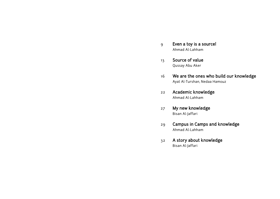- Even a toy is a source! Ahmad Al-Lahham 9
- Source of value Qussay Abu Aker 13
- We are the ones who build our knowledge Ayat Al-Turshan, Nedaa Hamouz 16
- Academic knowledge Ahmad Al-Lahham 22
- My new knowledge Bisan Al-Jaffari 27
- Campus in Camps and knowledge Ahmad Al-Lahham 29
- A story about knowledge Bisan Al-Jaffari 32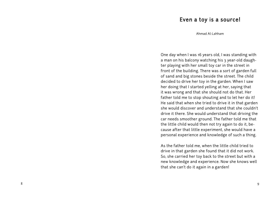### Even a toy is a source!

Ahmad Al-Lahham

One day when I was 16 years old, I was standing with a man on his balcony watching his 3 year-old daugh ter playing with her small toy car in the street in front of the building. There was a sort of garden full of sand and big stones beside the street. The child decided to drive her toy in the garden. When I saw her doing that I started yelling at her, saying that it was wrong and that she should not do that. Her father told me to stop shouting and to let her do it! He said that when she tried to drive it in that garden she would discover and understand that she couldn't drive it there. She would understand that driving the car needs smoother ground. The father told me that the little child would then not try again to do it, be cause after that little experiment, she would have a personal experience and knowledge of such a thing.

As the father told me, when the little child tried to drive in that garden she found that it did not work. So, she carried her toy back to the street but with a new knowledge and experience. Now she knows well that she can't do it again in a garden!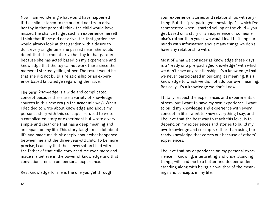Now, I am wondering what would have happened if the child listened to me and did not try to drive her toy in that garden! I think the child would have missed the chance to get such an experience herself. I think that if she did not drive it in that garden she would always look at that garden with a desire to do it every single time she passed near. She would doubt that she cannot drive her toy in that garden because she has acted based on my experience and knowledge that the toy cannot work there since the moment I started yelling at her. The result would be that she did not build a relationship or an experience-based knowledge regarding the issue.

The term knowledge is a wide and complicated concept because there are a variety of knowledge sources in this new era (in the academic way). When I decided to write about knowledge and about my personal story with this concept, I refused to write a complicated story or experiment but wrote a very simple and clear one that has a deep meaning and an impact on my life. This story taught me a lot about life and made me think deeply about what happened between me and the three-year-old child. To be more precise, I can say that the conversation I had with the father of that child convinced me even more and made me believe in the power of knowledge and that conviction stems from personal experience.

Real knowledge for me is the one you get through

your experience, stories and relationships with anything. But the "pre-packaged knowledge" – which I've represented when I started yelling at the child – you get based on a story or an experience of someone else's rather than your own would lead to filling our minds with information about many things we don't have any relationship with.

Most of what we consider as knowledge these days is a "ready or a pre-packaged knowledge" with which we don't have any relationship. It's a knowledge that we never participated in building its meaning. It's a knowledge to which we did not add our own meaning. Basically, it's a knowledge we don't know!

I totally respect the experiences and experiments of others, but I want to have my own experience. I want to build my knowledge and experience with every concept in life. I want to know everything I say, and I believe that the best way to reach this level is to depend on my experiences and stories to build my own knowledge and concepts rather than using the ready-knowledge that comes out because of others' experiences.

I believe that my dependence on my personal experience in knowing, interpreting and understanding things, will lead me to a better and deeper understanding along with being a co-author of the meanings and concepts in my life.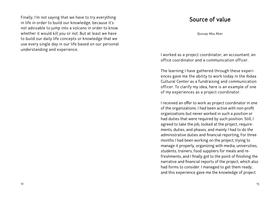Finally, I'm not saying that we have to try everything in life in order to build our knowledge, because it's not advisable to jump into a volcano in order to know whether it would kill you or not. But at least we have to build our daily life concepts or knowledge that we use every single day in our life based on our personal understanding and experience.

## Source of value

Qussay Abu Aker

I worked as a project coordinator, an accountant, an office coordinator and a communication officer.

The learning I have gathered through these experiences gave me the ability to work today in the Ibdaa Cultural Center as a fundraising and communication officer. To clarify my idea, here is an example of one of my experiences as a project coordinator.

I received an offer to work as project coordinator in one of the organizations. I had been active with non-profit organizations but never worked in such a position or had duties that were required by such position. Still, I agreed to take the job, looked at the project, requirements, duties, and phases, and mainly I had to do the administrative duties and financial reporting, For three months I had been working on the project, trying to manage it properly, organizing with media, universities, students, trainers, food suppliers for meals and refreshments, and I finally got to the point of finishing the narrative and financial reports of the project, which also had forms to consider. I managed to get them ready, and this experience gave me the knowledge of project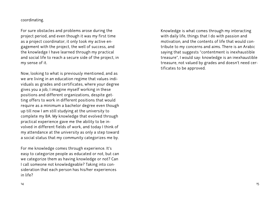#### coordinating.

For sure obstacles and problems arose during the project period, and even though it was my first time as a project coordinator, it only took my active engagement with the project, the well of success, and the knowledge I have learned through my practical and social life to reach a secure side of the project, in my sense of it.

Now, looking to what is previously mentioned, and as we are living in an education regime that values individuals as grades and certificates, where your degree gives you a job, I imagine myself working in these positions and different organizations, despite getting offers to work in different positions that would require as a minimum a bachelor degree even though up till now I am still studying at the university to complete my BA. My knowledge that evolved through practical experience gave me the ability to be involved in different fields of work, and today I think of my attendance at the university as only a step toward a social status that my community categorizes me by.

For me knowledge comes through experience. It's easy to categorize people as educated or not, but can we categorize them as having knowledge or not? Can I call someone not knowledgeable? Taking into consideration that each person has his/her experiences in life?

Knowledge is what comes through my interacting with daily life, things that I do with passion and motivation, and the contents of life that would contribute to my concerns and aims. There is an Arabic saying that suggests "contentment is inexhaustible treasure", I would say: knowledge is an inexhaustible treasure, not valued by grades and doesn't need certificates to be approved.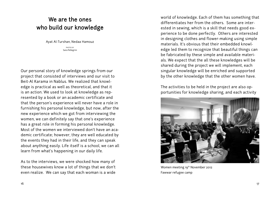## We are the ones who build our knowledge

Ayat Al-Turshan, Nedaa Hamouz

photos by Sara Pellegrini

Our personal story of knowledge springs from our project that consisted of interviews and our visit to Beit-Al Karama in Nablus. We realized that knowledge is practical as well as theoretical, and that it is an action. We used to look at knowledge as represented by a book or an academic certificate and that the person's experience will never have a role in furnishing his personal knowledge, but now, after the new experience which we got from interviewing the women, we can definitely say that one's experience has a great role in forming his personal knowledge. Most of the women we interviewed don't have an academic certificate; however, they are well educated by the events they had in their life, and they can speak about anything easily. Life itself is a school, we can all learn from what's happening in our daily life.

As to the interviews, we were shocked how many of these housewives know a lot of things that we don't even realize. We can say that each woman is a wide

world of knowledge. Each of them has something that differentiates her from the others. Some are interested in sewing, which is a skill that needs good experience to be done perfectly. Others are interested in designing clothes and flower-making using simple materials. It's obvious that their embedded knowledge led them to recognize that beautiful things can be fabricated by these simple and available materials. We expect that the all these knowledges will be shared during the project we will implement, each singular knowledge will be enriched and supported by the other knowledge that the other women have.

The activities to be held in the project are also opportunities for knowledge sharing, and each activity



Women meeting 19<sup>th</sup> November 2012 Fawwar refugee camp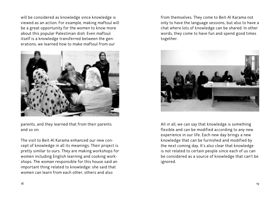will be considered as knowledge since knowledge is viewed as an action. For example, making maftoul will be a great opportunity for the women to know more about this popular Palestinian dish. Even maftoul itself is a knowledge transferred between the generations, we learned how to make maftoul from our



parents, and they learned that from their parents and so on.

The visit to Beit-Al Karama enhanced our new concept of knowledge in all its meanings. Their project is pretty similar to ours. They are making workshops for women including English learning and cooking workshops. The woman responsible for this house said an important thing related to knowledge: she said that women can learn from each other, others and also

from themselves. They come to Beit-Al Karama not only to have the language sessions, but also to have a chat where lots of knowledge can be shared. In other words, they come to have fun and spend good times together.



All in all, we can say that knowledge is something flexible and can be modified according to any new experience in our life. Each new day brings a new knowledge that can be furnished and modified by the next coming day. It's also clear that knowledge is not related to certain people since each of us can be considered as a source of knowledge that can't be ignored.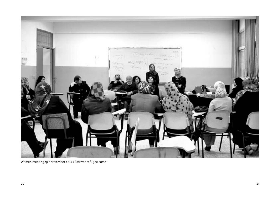

Women meeting 19th November 2012 / Fawwar refugee camp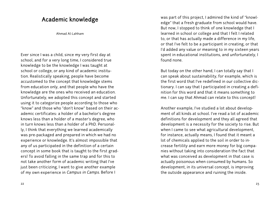## Academic knowledge

Ahmad Al-Lahham

Ever since I was a child, since my very first day at school, and for a very long time, I considered true knowledge to be the knowledge I was taught at school or college, or any kind of academic institution. Realistically speaking, people have become accustomed to the concept that knowledge stems from education only, and that people who have the knowledge are the ones who received an education. Unfortunately, we adopted this concept and started using it to categorize people according to those who "know" and those who "don't know" based on their academic certificates: a holder of a bachelor's degree knows less than a holder of a master's degree, who in turn knows less than a holder of a PhD. Personally, I think that everything we learned academically was pre-packaged and prepared in which we had no experience or knowledge. It's almost impossible that any of us participated in the definition of a certain concept in some book that is taught to the first graders! To avoid falling in the same trap and for this to not take another form of academic writing that I've just been criticizing, I want to give another example of my own experience in Campus in Camps. Before I

was part of this project, I admired the kind of "knowledge" that a fresh graduate from school would have. But now, I stopped to think of one knowledge that I learned in school or college and that I felt I related to, or that has actually made a difference in my life, or that I've felt to be a participant in creating, or that I'd added any value or meaning to in my sixteen years spent in educational institutions, and unfortunately, I found none.

But today on the other hand, I can totally say that I can speak about sustainability, for example, which is the first word that I've redefined in our collective dictionary. I can say that I participated in creating a definition for this word and that it means something to me. I can say that Ahmad can relate to this concept!

Another example, I've studied a lot about development of all kinds at school. I've read a lot of academic definitions for development and they all agreed that development is a necessity for the society to rise. But when I came to see what agricultural development, for instance, actually means, I found that it meant a lot of chemicals applied to the soil in order to increase fertility and earn more money for big companies without taking into consideration the fact that what was conceived as development in that case is actually poisonous when consumed by humans. So development, in its universal concept, is improving the outside appearance and ruining the inside.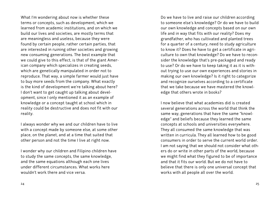What I'm wondering about now is whether these terms or concepts, such as development, which we learned from academic institutions, and on which we build our lives and societies, are mostly terms that are meaningless and useless, because they were found by certain people, rather certain parties, that are interested in ruining other societies and growing new consuming generations. The best example that we could give to this effect, is that of the giant American company which specializes in creating seeds, which are genetically manipulated in order not to reproduce. That way, a simple farmer would just have to buy more seeds from the company. What exactly is the kind of development we're talking about here? I don't want to get caught up talking about development, since I only mentioned it as an example of knowledge or a concept taught at school which in reality could be destructive and does not fit with our reality.

I always wonder why we and our children have to live with a concept made by someone else, at some other place, on the planet, and at a time that suited that other person and not the time I live at right now.

I wonder why our children and Filipino children have to study the same concepts, the same knowledge, and the same equations although each one lives under different circumstances. What works here wouldn't work there and vice versa.

Do we have to live and raise our children according to someone else's knowledge? Or do we have to build our own knowledge and concepts based on our own life and in way that fits with our reality? Does my grandfather, who has cultivated and planted trees for a quarter of a century, need to study agriculture to know it? Does he have to get a certificate in agriculture to own that knowledge? Do we have to reconsider the knowledge that's pre-packaged and ready to use? Or do we have to keep taking it as it is without trying to use our own experiences and stories in making our own knowledge? Is it right to categorize and recognize ourselves according to a certificate that we take because we have mastered the knowledge that others wrote in books?

I now believe that what academies did is created several generations across the world that think the same way, generations that have the same "knowledge" and beliefs because they learned the same concepts at schools and universities everywhere. They all consumed the same knowledge that was written in curricula. They all learned how to be good consumers in order to serve the current world order. I am not saying that we should not consider what others do or write in other parts of the world, because we might find what they figured to be of importance and that it fits our world. But we do not have to believe that there is only one universal concept that works with all people all over the world.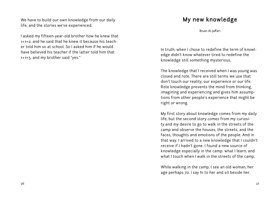We have to build our own knowledge from our daily life, and the stories we've experienced.

I asked my fifteen-year-old brother how he knew that 1+1=2, and he said that he knew it because his teacher told him so at school. So I asked him if he would have believed his teacher if the latter told him that 1+1=3, and my brother said "yes."

## My new knowledge

Bisan Al-Jaffari

In truth, when I chose to redefine the term of knowledge didn't know whatever tired to redefine the knowledge still something mysterious.

The knowledge that I received when I was young was closed and rote. There are still terms we use that don't touch our reality, our experience or our life. Rote knowledge prevents the mind from thinking, imagining and experiencing and gives him assumptions from other people's experience that might be right or wrong.

My first story about knowledge comes from my daily life, but the second story comes from my curiosity and my desire to go to walk in the streets of the camp and observe the houses, the streets, and the faces, thoughts and emotions of the people. And in that way, I arrived to a new knowledge that I couldn't receive if I hadn't gone. I found a new source of knowledge especially in the camp: what I learn, and what I touch when I walk in the streets of the camp.

While walking in the camp, I see an old woman, her age perhaps 70. I say hi to her and sit beside her.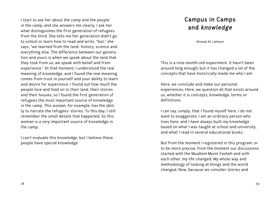I start to ask her about the camp and the people in the camp, and she answers me clearly. I ask her what distinguishes the first generation of refugees from the third. She tells me her generation didn't go to school or learn how to read and write, "but," she says, "we learned from the land- history, science and everything else. The difference between our generation and yours is when we speak about the land that they took from us, we speak with belief and from experience." At that moment, I understood the real meaning of knowledge, and I found the real meaning comes from trust in yourself and your ability to learn and desire for experience. I found out how much the people love and hold on to their land, their stories and their houses, so I found the first generation of refugees the most important source of knowledge in the camp. This woman, for example, has the ability to narrate the refugees' stories. To this day, I still remember the small details that happened. So this woman is a very important source of knowledge in the camp.

I can't evaluate this knowledge, but I believe these people have special knowledge.

## Campus in Camps and knowledge

Ahmad Al-Lahham

This is a nine-month-old experiment. It hasn't been around long enough, but it has changed a lot of the concepts that have historically made me who I am.

Here, we conclude and make our personal experiences. Here, we question all that exists around us, whether it is concepts, knowledge, terms or definitions.

I can say, simply, that I found myself here. I do not want to exaggerate, I am an ordinary person who lives here, and I have always built my knowledge based on what I was taught at school and university, and what I read in several educational books.

But from the moment I registered in this program, or to be more precise, from the moment our discussions started with the Muallem Munir Fasheh and with each other, my life changed. My whole way and methodology of looking at things and the world changed. Now, because we consider stories and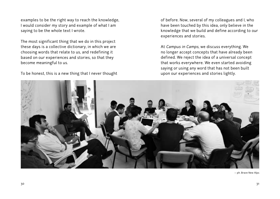examples to be the right way to reach the knowledge, I would consider my story and example of what I am saying to be the whole text I wrote.

The most significant thing that we do in this project these days is a collective dictionary, in which we are choosing words that relate to us, and redefining it based on our experiences and stories, so that they become meaningful to us.

To be honest, this is a new thing that I never thought

of before. Now, several of my colleagues and I, who have been touched by this idea, only believe in the knowledge that we build and define according to our experiences and stories.

At Campus in Camps, we discuss everything. We no longer accept concepts that have already been defined. We reject the idea of a universal concept that works everywhere. We even started avoiding saying or using any word that has not been built upon our experiences and stories lightly.



— ph. Brave New Alps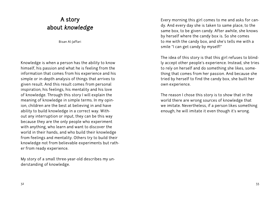## A story about knowledge

Bisan Al-Jaffari

Knowledge is when a person has the ability to know himself, his passion and what he is feeling from the information that comes from his experience and his simple or in-depth analysis of things that arrives to given result. And this result comes from personal inspiration, his feelings, his mentality and his love of knowledge. Through this story I will explain the meaning of knowledge in simple terms. In my opinion, children are the best at believing in and have ability to build knowledge in a correct way. Without any interruption or input, they can be this way because they are the only people who experiment with anything, who learn and want to discover the world in their hands, and who build their knowledge from feelings and mentality. Others try to build their knowledge not from believable experiments but rather from ready experience.

My story of a small three-year-old describes my understanding of knowledge.

Every morning this girl comes to me and asks for candy. And every day she is taken to same place, to the same box, to be given candy. After awhile, she knows by herself where the candy box is. So she comes to me with the candy box, and she's tells me with a smile "I can get candy by myself!"

The idea of this story is that this girl refuses to blindly accept other people's experience. Instead, she tries to rely on herself and do something she likes, something that comes from her passion. And because she tried by herself to find the candy box, she built her own experience.

The reason I chose this story is to show that in the world there are wrong sources of knowledge that we imitate. Nevertheless, if a person likes something enough, he will imitate it even though it's wrong.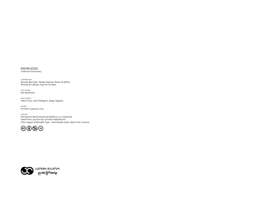



copyleft Attribution-NonCommercial-NoDerivs 3.0 Unported Used fonts: Junction by Caroline Hadilaksono (The League of Movable Type - distributed under Open Font Licence)

edition Printed in January 2013

book design Fabio Franz, Sara Pellegrini, Diego Segatto

text editing Dan McKenzie

contributors Qussay Abu Aker, Nedaa Hamouz, Bisan Al-Jaffari, Ahmad Al-Lahham, Ayat Al-Turshan

KNOWLEDGE Collective Dictionary